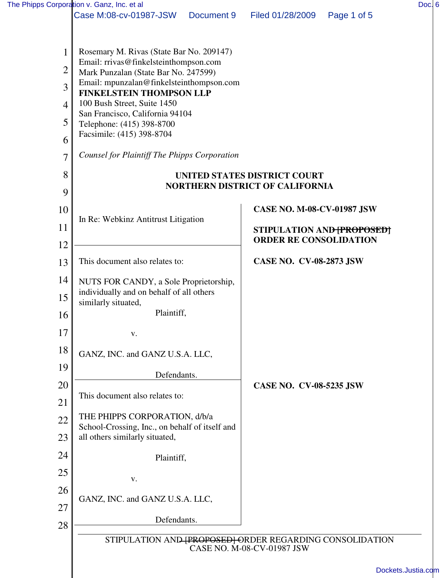|                | The Phipps Corporation v. Ganz, Inc. et al                                       |                                 |                                   |                          | Doc. 6             |  |  |  |
|----------------|----------------------------------------------------------------------------------|---------------------------------|-----------------------------------|--------------------------|--------------------|--|--|--|
|                | Case M:08-cv-01987-JSW                                                           | Document 9                      | Filed 01/28/2009                  | Page 1 of 5              |                    |  |  |  |
|                |                                                                                  |                                 |                                   |                          |                    |  |  |  |
|                | Rosemary M. Rivas (State Bar No. 209147)                                         |                                 |                                   |                          |                    |  |  |  |
| 2              | Email: rrivas@finkelsteinthompson.com                                            |                                 |                                   |                          |                    |  |  |  |
| 3              | Mark Punzalan (State Bar No. 247599)<br>Email: mpunzalan@finkelsteinthompson.com |                                 |                                   |                          |                    |  |  |  |
| $\overline{4}$ | 100 Bush Street, Suite 1450                                                      | <b>FINKELSTEIN THOMPSON LLP</b> |                                   |                          |                    |  |  |  |
|                | San Francisco, California 94104                                                  |                                 |                                   |                          |                    |  |  |  |
| 5              | Telephone: (415) 398-8700<br>Facsimile: (415) 398-8704                           |                                 |                                   |                          |                    |  |  |  |
| 6              |                                                                                  |                                 |                                   |                          |                    |  |  |  |
| $\overline{7}$ | <b>Counsel for Plaintiff The Phipps Corporation</b>                              |                                 |                                   |                          |                    |  |  |  |
| 8              | UNITED STATES DISTRICT COURT                                                     |                                 |                                   |                          |                    |  |  |  |
| 9              | <b>NORTHERN DISTRICT OF CALIFORNIA</b>                                           |                                 |                                   |                          |                    |  |  |  |
| 10             |                                                                                  |                                 | <b>CASE NO. M-08-CV-01987 JSW</b> |                          |                    |  |  |  |
| 11             | In Re: Webkinz Antitrust Litigation                                              |                                 |                                   | STIPULATION AND PROPOSED |                    |  |  |  |
| 12             |                                                                                  |                                 | <b>ORDER RE CONSOLIDATION</b>     |                          |                    |  |  |  |
| 13             | This document also relates to:                                                   |                                 | <b>CASE NO. CV-08-2873 JSW</b>    |                          |                    |  |  |  |
| 14             | NUTS FOR CANDY, a Sole Proprietorship,                                           |                                 |                                   |                          |                    |  |  |  |
| 15             | individually and on behalf of all others                                         |                                 |                                   |                          |                    |  |  |  |
| 16             | similarly situated,<br>Plaintiff,                                                |                                 |                                   |                          |                    |  |  |  |
| 17             |                                                                                  |                                 |                                   |                          |                    |  |  |  |
|                | V.                                                                               |                                 |                                   |                          |                    |  |  |  |
| 18             | GANZ, INC. and GANZ U.S.A. LLC,                                                  |                                 |                                   |                          |                    |  |  |  |
| 19             | Defendants.                                                                      |                                 |                                   |                          |                    |  |  |  |
| 20             | This document also relates to:                                                   |                                 | <b>CASE NO. CV-08-5235 JSW</b>    |                          |                    |  |  |  |
| 21             |                                                                                  |                                 |                                   |                          |                    |  |  |  |
| 22             | THE PHIPPS CORPORATION, d/b/a<br>School-Crossing, Inc., on behalf of itself and  |                                 |                                   |                          |                    |  |  |  |
| 23             | all others similarly situated,                                                   |                                 |                                   |                          |                    |  |  |  |
| 24             | Plaintiff,                                                                       |                                 |                                   |                          |                    |  |  |  |
| 25             | V.                                                                               |                                 |                                   |                          |                    |  |  |  |
| 26             |                                                                                  |                                 |                                   |                          |                    |  |  |  |
| 27             | GANZ, INC. and GANZ U.S.A. LLC,                                                  |                                 |                                   |                          |                    |  |  |  |
| 28             | Defendants.                                                                      |                                 |                                   |                          |                    |  |  |  |
|                | STIPULATION AND (PROPOSED) ORDER REGARDING CONSOLIDATION                         |                                 |                                   |                          |                    |  |  |  |
|                |                                                                                  |                                 | CASE NO. M-08-CV-01987 JSW        |                          |                    |  |  |  |
|                |                                                                                  |                                 |                                   |                          | Dockets.Justia.com |  |  |  |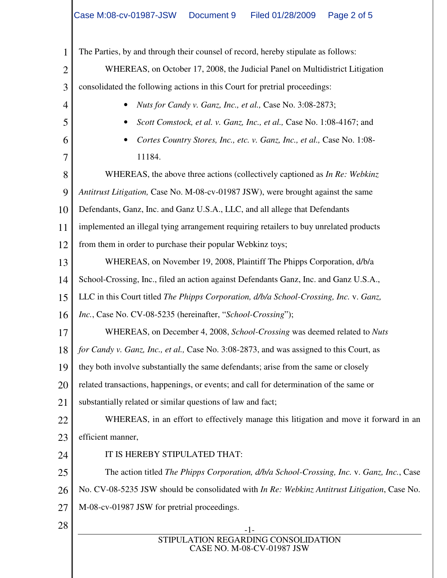-1- STIPULATION REGARDING CONSOLIDATION CASE NO. M-08-CV-01987 JSW 1 2 3 4 5 6 7 8 9 10 11 12 13 14 15 16 17 18 19 20 21 22 23 24 25 26 27 28 The Parties, by and through their counsel of record, hereby stipulate as follows: WHEREAS, on October 17, 2008, the Judicial Panel on Multidistrict Litigation consolidated the following actions in this Court for pretrial proceedings: • *Nuts for Candy v. Ganz, Inc., et al.,* Case No. 3:08-2873; • *Scott Comstock, et al. v. Ganz, Inc., et al.,* Case No. 1:08-4167; and • *Cortes Country Stores, Inc., etc. v. Ganz, Inc., et al.,* Case No. 1:08- 11184. WHEREAS, the above three actions (collectively captioned as *In Re: Webkinz Antitrust Litigation,* Case No. M-08-cv-01987 JSW), were brought against the same Defendants, Ganz, Inc. and Ganz U.S.A., LLC, and all allege that Defendants implemented an illegal tying arrangement requiring retailers to buy unrelated products from them in order to purchase their popular Webkinz toys; WHEREAS, on November 19, 2008, Plaintiff The Phipps Corporation, d/b/a School-Crossing, Inc., filed an action against Defendants Ganz, Inc. and Ganz U.S.A., LLC in this Court titled *The Phipps Corporation, d/b/a School-Crossing, Inc.* v. *Ganz, Inc.*, Case No. CV-08-5235 (hereinafter, "*School-Crossing*"); WHEREAS, on December 4, 2008, *School-Crossing* was deemed related to *Nuts for Candy v. Ganz, Inc., et al.,* Case No. 3:08-2873, and was assigned to this Court, as they both involve substantially the same defendants; arise from the same or closely related transactions, happenings, or events; and call for determination of the same or substantially related or similar questions of law and fact; WHEREAS, in an effort to effectively manage this litigation and move it forward in an efficient manner, IT IS HEREBY STIPULATED THAT: The action titled *The Phipps Corporation, d/b/a School-Crossing, Inc.* v. *Ganz, Inc.*, Case No. CV-08-5235 JSW should be consolidated with *In Re: Webkinz Antitrust Litigation*, Case No. M-08-cv-01987 JSW for pretrial proceedings.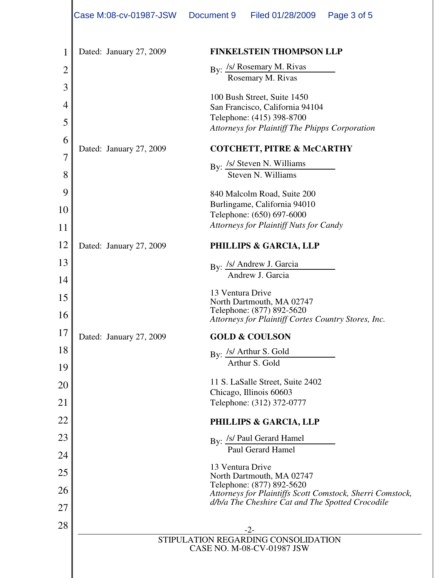|                | Case M:08-cv-01987-JSW  | Document 9       | Filed 01/28/2009                                                                                                      | Page 3 of 5                                               |  |  |
|----------------|-------------------------|------------------|-----------------------------------------------------------------------------------------------------------------------|-----------------------------------------------------------|--|--|
| 1              | Dated: January 27, 2009 |                  | <b>FINKELSTEIN THOMPSON LLP</b>                                                                                       |                                                           |  |  |
| $\overline{2}$ |                         |                  | By: /s/ Rosemary M. Rivas<br>Rosemary M. Rivas                                                                        |                                                           |  |  |
| 3              |                         |                  | 100 Bush Street, Suite 1450                                                                                           |                                                           |  |  |
| 4<br>5         |                         |                  | San Francisco, California 94104<br>Telephone: (415) 398-8700<br><b>Attorneys for Plaintiff The Phipps Corporation</b> |                                                           |  |  |
| 6              |                         |                  |                                                                                                                       |                                                           |  |  |
| 7              | Dated: January 27, 2009 |                  | <b>COTCHETT, PITRE &amp; McCARTHY</b>                                                                                 |                                                           |  |  |
| 8              |                         |                  | By: /s/ Steven N. Williams<br>Steven N. Williams                                                                      |                                                           |  |  |
| 9              |                         |                  | 840 Malcolm Road, Suite 200                                                                                           |                                                           |  |  |
| 10             |                         |                  | Burlingame, California 94010<br>Telephone: (650) 697-6000                                                             |                                                           |  |  |
| 11             |                         |                  | <b>Attorneys for Plaintiff Nuts for Candy</b>                                                                         |                                                           |  |  |
| 12             | Dated: January 27, 2009 |                  | PHILLIPS & GARCIA, LLP                                                                                                |                                                           |  |  |
| 13             |                         |                  | By: /s/ Andrew J. Garcia                                                                                              |                                                           |  |  |
| 14             |                         |                  | Andrew J. Garcia                                                                                                      |                                                           |  |  |
| 15             |                         | 13 Ventura Drive | North Dartmouth, MA 02747                                                                                             |                                                           |  |  |
| 16             |                         |                  | Telephone: (877) 892-5620<br>Attorneys for Plaintiff Cortes Country Stores, Inc.                                      |                                                           |  |  |
| 17             | Dated: January 27, 2009 |                  | <b>GOLD &amp; COULSON</b>                                                                                             |                                                           |  |  |
| 18             |                         |                  | By: /s/ Arthur S. Gold                                                                                                |                                                           |  |  |
| 19             |                         |                  | Arthur S. Gold                                                                                                        |                                                           |  |  |
| 20             |                         |                  | 11 S. LaSalle Street, Suite 2402<br>Chicago, Illinois 60603                                                           |                                                           |  |  |
| 21             |                         |                  | Telephone: (312) 372-0777                                                                                             |                                                           |  |  |
| 22             |                         |                  | PHILLIPS & GARCIA, LLP                                                                                                |                                                           |  |  |
| 23             |                         |                  | By: /s/ Paul Gerard Hamel                                                                                             |                                                           |  |  |
| 24             |                         |                  | Paul Gerard Hamel                                                                                                     |                                                           |  |  |
| 25             |                         | 13 Ventura Drive | North Dartmouth, MA 02747                                                                                             |                                                           |  |  |
| 26             |                         |                  | Telephone: (877) 892-5620                                                                                             | Attorneys for Plaintiffs Scott Comstock, Sherri Comstock, |  |  |
| 27             |                         |                  | d/b/a The Cheshire Cat and The Spotted Crocodile                                                                      |                                                           |  |  |
| 28             |                         |                  | $-2-$                                                                                                                 |                                                           |  |  |
|                |                         |                  | STIPULATION REGARDING CONSOLIDATION                                                                                   |                                                           |  |  |
|                |                         |                  | CASE NO. M-08-CV-01987 JSW                                                                                            |                                                           |  |  |
|                |                         |                  |                                                                                                                       |                                                           |  |  |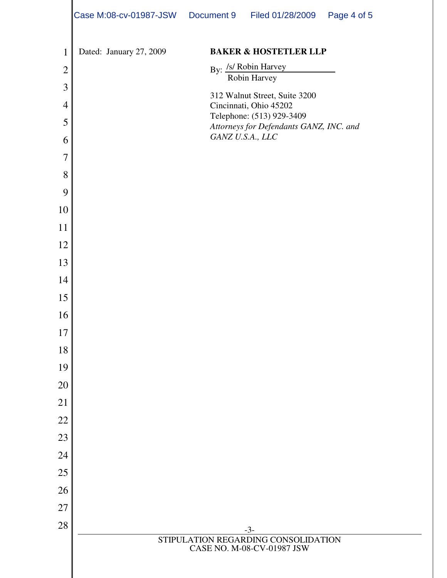|                | Case M:08-cv-01987-JSW Document 9 | Filed 01/28/2009                                                     | Page 4 of 5 |
|----------------|-----------------------------------|----------------------------------------------------------------------|-------------|
| $\mathbf{1}$   | Dated: January 27, 2009           | <b>BAKER &amp; HOSTETLER LLP</b>                                     |             |
| $\overline{2}$ |                                   |                                                                      |             |
| 3              |                                   | By: <i>Isl</i> Robin Harvey<br>Robin Harvey                          |             |
| $\overline{4}$ |                                   | 312 Walnut Street, Suite 3200<br>Cincinnati, Ohio 45202              |             |
| 5              |                                   | Telephone: (513) 929-3409<br>Attorneys for Defendants GANZ, INC. and |             |
| 6              |                                   | GANZ U.S.A., LLC                                                     |             |
| $\overline{7}$ |                                   |                                                                      |             |
| 8              |                                   |                                                                      |             |
| 9              |                                   |                                                                      |             |
| 10             |                                   |                                                                      |             |
| 11             |                                   |                                                                      |             |
| 12             |                                   |                                                                      |             |
| 13             |                                   |                                                                      |             |
| 14             |                                   |                                                                      |             |
| 15             |                                   |                                                                      |             |
| 16             |                                   |                                                                      |             |
| $17\,$         |                                   |                                                                      |             |
| 18             |                                   |                                                                      |             |
| 19             |                                   |                                                                      |             |
| 20             |                                   |                                                                      |             |
| 21             |                                   |                                                                      |             |
| 22             |                                   |                                                                      |             |
| 23             |                                   |                                                                      |             |
| 24             |                                   |                                                                      |             |
| 25             |                                   |                                                                      |             |
| 26             |                                   |                                                                      |             |
| 27             |                                   |                                                                      |             |
| 28             |                                   | $-3-$                                                                |             |
|                |                                   | STIPULATION REGARDING CONSOLIDATION<br>CASE NO. M-08-CV-01987 JSW    |             |
|                |                                   |                                                                      |             |